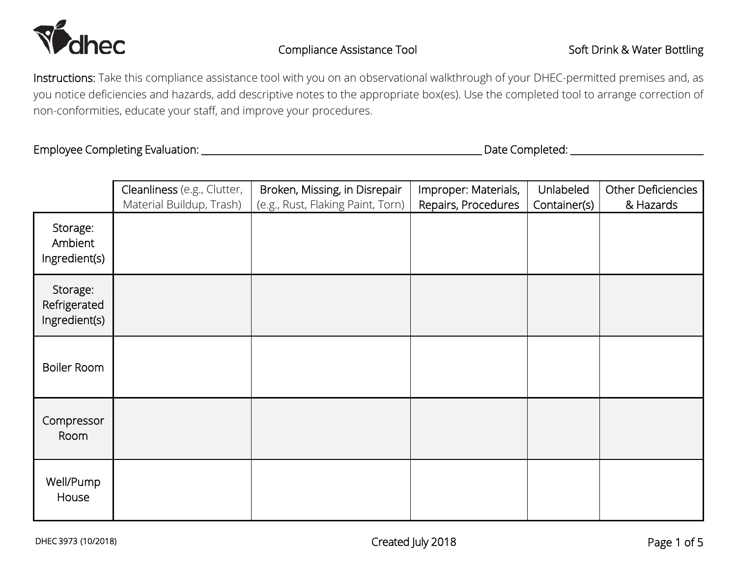

Instructions: Take this compliance assistance tool with you on an observational walkthrough of your DHEC-permitted premises and, as you notice deficiencies and hazards, add descriptive notes to the appropriate box(es). Use the completed tool to arrange correction of non-conformities, educate your staff, and improve your procedures.

Employee Completing Evaluation: \_\_\_\_\_\_\_\_\_\_\_\_\_\_\_\_\_\_\_\_\_\_\_\_\_\_\_\_\_\_\_\_\_\_\_\_\_\_\_\_\_\_\_\_\_\_\_\_\_\_\_\_\_\_\_\_\_\_\_\_\_ Date Completed: \_\_\_\_\_\_\_\_\_\_\_\_\_\_\_\_\_\_\_\_\_\_\_\_\_\_\_\_\_

|                                           | Cleanliness (e.g., Clutter,<br>Material Buildup, Trash) | Broken, Missing, in Disrepair<br>(e.g., Rust, Flaking Paint, Torn) | Improper: Materials,<br>Repairs, Procedures | Unlabeled<br>Container(s) | Other Deficiencies<br>& Hazards |
|-------------------------------------------|---------------------------------------------------------|--------------------------------------------------------------------|---------------------------------------------|---------------------------|---------------------------------|
| Storage:<br>Ambient<br>Ingredient(s)      |                                                         |                                                                    |                                             |                           |                                 |
| Storage:<br>Refrigerated<br>Ingredient(s) |                                                         |                                                                    |                                             |                           |                                 |
| Boiler Room                               |                                                         |                                                                    |                                             |                           |                                 |
| Compressor<br>Room                        |                                                         |                                                                    |                                             |                           |                                 |
| Well/Pump<br>House                        |                                                         |                                                                    |                                             |                           |                                 |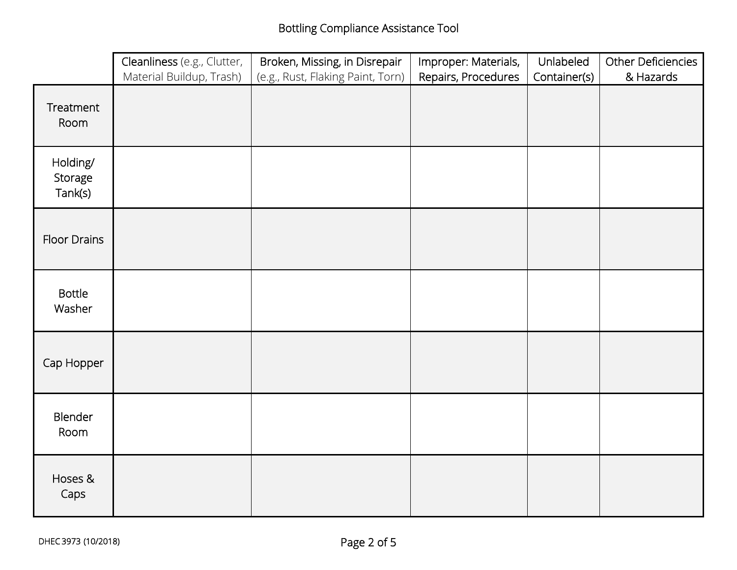|                                | Cleanliness (e.g., Clutter, | Broken, Missing, in Disrepair     | Improper: Materials, | Unlabeled    | Other Deficiencies |
|--------------------------------|-----------------------------|-----------------------------------|----------------------|--------------|--------------------|
|                                | Material Buildup, Trash)    | (e.g., Rust, Flaking Paint, Torn) | Repairs, Procedures  | Container(s) | & Hazards          |
| Treatment<br>Room              |                             |                                   |                      |              |                    |
| Holding/<br>Storage<br>Tank(s) |                             |                                   |                      |              |                    |
| <b>Floor Drains</b>            |                             |                                   |                      |              |                    |
| <b>Bottle</b><br>Washer        |                             |                                   |                      |              |                    |
| Cap Hopper                     |                             |                                   |                      |              |                    |
| Blender<br>Room                |                             |                                   |                      |              |                    |
| Hoses &<br>Caps                |                             |                                   |                      |              |                    |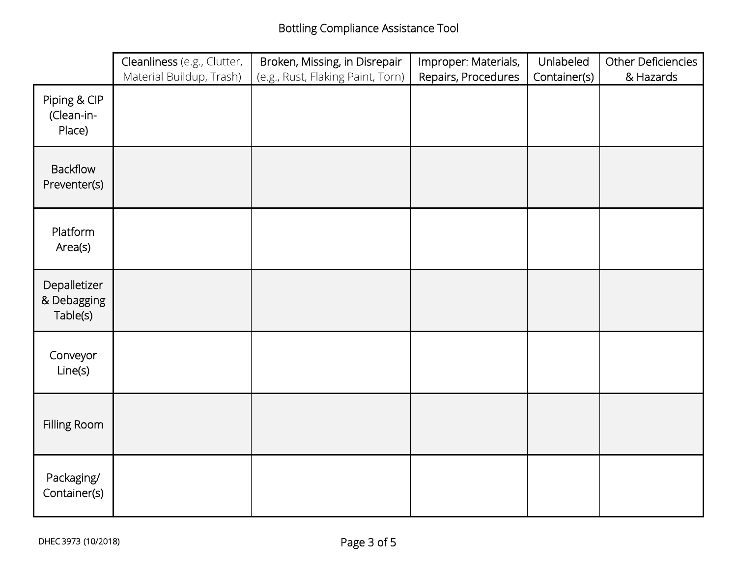|                                         | Cleanliness (e.g., Clutter, | Broken, Missing, in Disrepair     | Improper: Materials, | Unlabeled    | Other Deficiencies |
|-----------------------------------------|-----------------------------|-----------------------------------|----------------------|--------------|--------------------|
|                                         | Material Buildup, Trash)    | (e.g., Rust, Flaking Paint, Torn) | Repairs, Procedures  | Container(s) | & Hazards          |
| Piping & CIP<br>(Clean-in-<br>Place)    |                             |                                   |                      |              |                    |
| <b>Backflow</b><br>Preventer(s)         |                             |                                   |                      |              |                    |
| Platform<br>Area(s)                     |                             |                                   |                      |              |                    |
| Depalletizer<br>& Debagging<br>Table(s) |                             |                                   |                      |              |                    |
| Conveyor<br>Line(s)                     |                             |                                   |                      |              |                    |
| Filling Room                            |                             |                                   |                      |              |                    |
| Packaging/<br>Container(s)              |                             |                                   |                      |              |                    |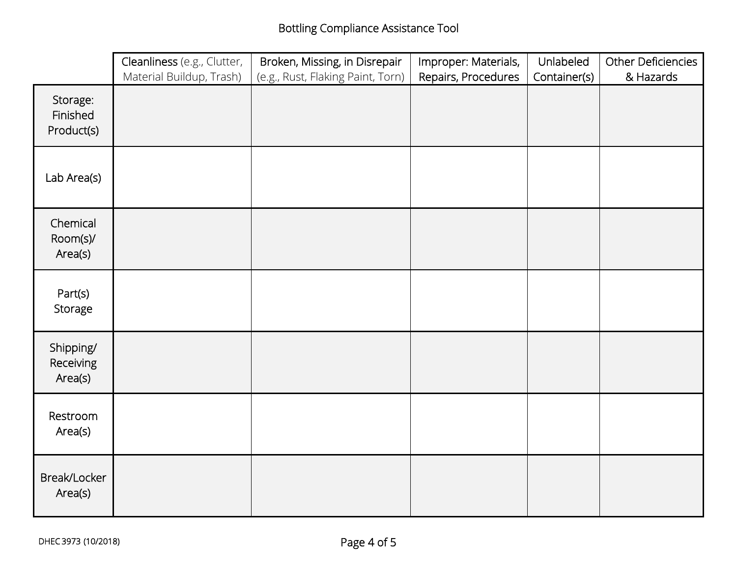|                                    | Cleanliness (e.g., Clutter, | Broken, Missing, in Disrepair     | Improper: Materials, | Unlabeled    | Other Deficiencies |
|------------------------------------|-----------------------------|-----------------------------------|----------------------|--------------|--------------------|
|                                    | Material Buildup, Trash)    | (e.g., Rust, Flaking Paint, Torn) | Repairs, Procedures  | Container(s) | & Hazards          |
| Storage:<br>Finished<br>Product(s) |                             |                                   |                      |              |                    |
| Lab Area(s)                        |                             |                                   |                      |              |                    |
| Chemical<br>Room(s)/<br>Area(s)    |                             |                                   |                      |              |                    |
| Part(s)<br>Storage                 |                             |                                   |                      |              |                    |
| Shipping/<br>Receiving<br>Area(s)  |                             |                                   |                      |              |                    |
| Restroom<br>Area(s)                |                             |                                   |                      |              |                    |
| Break/Locker<br>Area(s)            |                             |                                   |                      |              |                    |